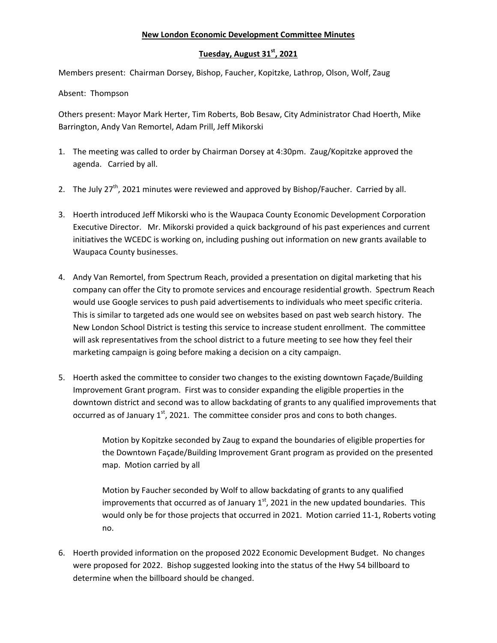## **New London Economic Development Committee Minutes**

## **Tuesday, August 31st, 2021**

Members present: Chairman Dorsey, Bishop, Faucher, Kopitzke, Lathrop, Olson, Wolf, Zaug

Absent: Thompson

Others present: Mayor Mark Herter, Tim Roberts, Bob Besaw, City Administrator Chad Hoerth, Mike Barrington, Andy Van Remortel, Adam Prill, Jeff Mikorski

- 1. The meeting was called to order by Chairman Dorsey at 4:30pm. Zaug/Kopitzke approved the agenda. Carried by all.
- 2. The July  $27<sup>th</sup>$ , 2021 minutes were reviewed and approved by Bishop/Faucher. Carried by all.
- 3. Hoerth introduced Jeff Mikorski who is the Waupaca County Economic Development Corporation Executive Director. Mr. Mikorski provided a quick background of his past experiences and current initiatives the WCEDC is working on, including pushing out information on new grants available to Waupaca County businesses.
- 4. Andy Van Remortel, from Spectrum Reach, provided a presentation on digital marketing that his company can offer the City to promote services and encourage residential growth. Spectrum Reach would use Google services to push paid advertisements to individuals who meet specific criteria. This is similar to targeted ads one would see on websites based on past web search history. The New London School District is testing this service to increase student enrollment. The committee will ask representatives from the school district to a future meeting to see how they feel their marketing campaign is going before making a decision on a city campaign.
- 5. Hoerth asked the committee to consider two changes to the existing downtown Façade/Building Improvement Grant program. First was to consider expanding the eligible properties in the downtown district and second was to allow backdating of grants to any qualified improvements that occurred as of January  $1<sup>st</sup>$ , 2021. The committee consider pros and cons to both changes.

Motion by Kopitzke seconded by Zaug to expand the boundaries of eligible properties for the Downtown Façade/Building Improvement Grant program as provided on the presented map. Motion carried by all

Motion by Faucher seconded by Wolf to allow backdating of grants to any qualified improvements that occurred as of January  $1<sup>st</sup>$ , 2021 in the new updated boundaries. This would only be for those projects that occurred in 2021. Motion carried 11‐1, Roberts voting no.

6. Hoerth provided information on the proposed 2022 Economic Development Budget. No changes were proposed for 2022. Bishop suggested looking into the status of the Hwy 54 billboard to determine when the billboard should be changed.